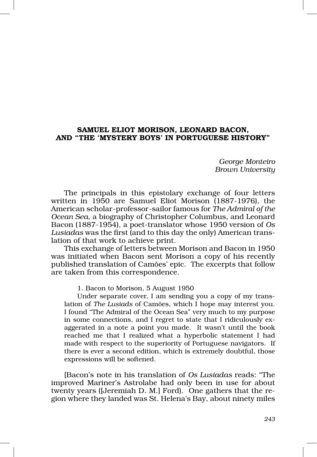## SAMUEL ELIOT MORISON, LEONARD BACON, AND "THE 'MYSTERY BOYS' IN PORTUGUESE HISTORY"

*George Monteiro Brown University* 

The principals in this epistolary exchange of four letters written in 1950 are Samuel Eliot Morison (1887‑1976), the American scholar‑professor‑sailor famous for *The Admiral of the Ocean Sea*, a biography of Christopher Columbus, and Leonard Bacon (1887‑1954), a poet‑translator whose 1950 version of *Os Lusiadas* was the first (and to this day the only) American trans‑ lation of that work to achieve print.

This exchange of letters between Morison and Bacon in 1950 was initiated when Bacon sent Morison a copy of his recently published translation of Camões' epic. The excerpts that follow are taken from this correspondence.

1. Bacon to Morison, 5 August 1950

Under separate cover, I am sending you a copy of my translation of *The Lusiads* of Camões, which I hope may interest you. I found "The Admiral of the Ocean Sea" very much to my purpose in some connections, and I regret to state that I ridiculously exaggerated in a note a point you made. It wasn't until the book reached me that I realized what a hyperbolic statement I had made with respect to the superiority of Portuguese navigators. If there is ever a second edition, which is extremely doubtful, those expressions will be softened.

[Bacon's note in his translation of *Os Lusiadas* reads: "The improved Mariner's Astrolabe had only been in use for about twenty years ([Jeremiah D. M.] Ford). One gathers that the re‑ gion where they landed was St. Helena's Bay, about ninety miles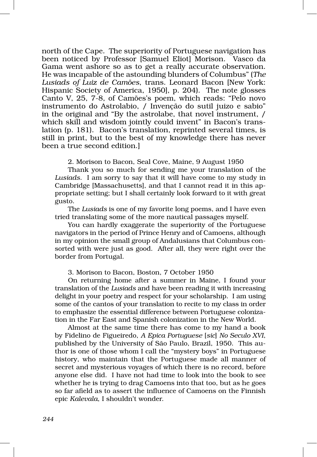north of the Cape. The superiority of Portuguese navigation has been noticed by Professor [Samuel Eliot] Morison. Vasco da Gama went ashore so as to get a really accurate observation. He was incapable of the astounding blunders of Columbus" (*The Lusiads of Luiz de Camões*, trans. Leonard Bacon [New York: Hispanic Society of America, 1950], p. 204). The note glosses Canto V, 25, 7‑8, of Camões's poem, which reads: "Pelo novo instrumento do Astrolabio, / Invenção do sutil juizo e sabio" in the original and "By the astrolabe, that novel instrument, / which skill and wisdom jointly could invent" in Bacon's trans– lation (p. 181). Bacon's translation, reprinted several times, is still in print, but to the best of my knowledge there has never been a true second edition.]

2. Morison to Bacon, Seal Cove, Maine, 9 August 1950

Thank you so much for sending me your translation of the *Lusiads*. I am sorry to say that it will have come to my study in Cambridge [Massachusetts], and that I cannot read it in this appropriate setting; but I shall certainly look forward to it with great gusto.

The *Lusiads* is one of my favorite long poems, and I have even tried translating some of the more nautical passages myself.

You can hardly exaggerate the superiority of the Portuguese navigators in the period of Prince Henry and of Camoens, although in my opinion the small group of Andalusians that Columbus consorted with were just as good. After all, they were right over the border from Portugal.

3. Morison to Bacon, Boston, 7 October 1950

On returning home after a summer in Maine, I found your translation of the *Lusiads* and have been reading it with increasing delight in your poetry and respect for your scholarship. I am using some of the cantos of your translation to recite to my class in order to emphasize the essential difference between Portuguese colonization in the Far East and Spanish colonization in the New World.

Almost at the same time there has come to my hand a book by Fidelino de Figueiredo, *A Epica Portuguese* [*sic*] *No Seculo XVI*, published by the University of São Paulo, Brazil, 1950. This au‑ thor is one of those whom I call the "mystery boys" in Portuguese history, who maintain that the Portuguese made all manner of secret and mysterious voyages of which there is no record, before anyone else did. I have not had time to look into the book to see whether he is trying to drag Camoens into that too, but as he goes so far afield as to assert the influence of Camoens on the Finnish epic *Kalevala*, I shouldn't wonder.